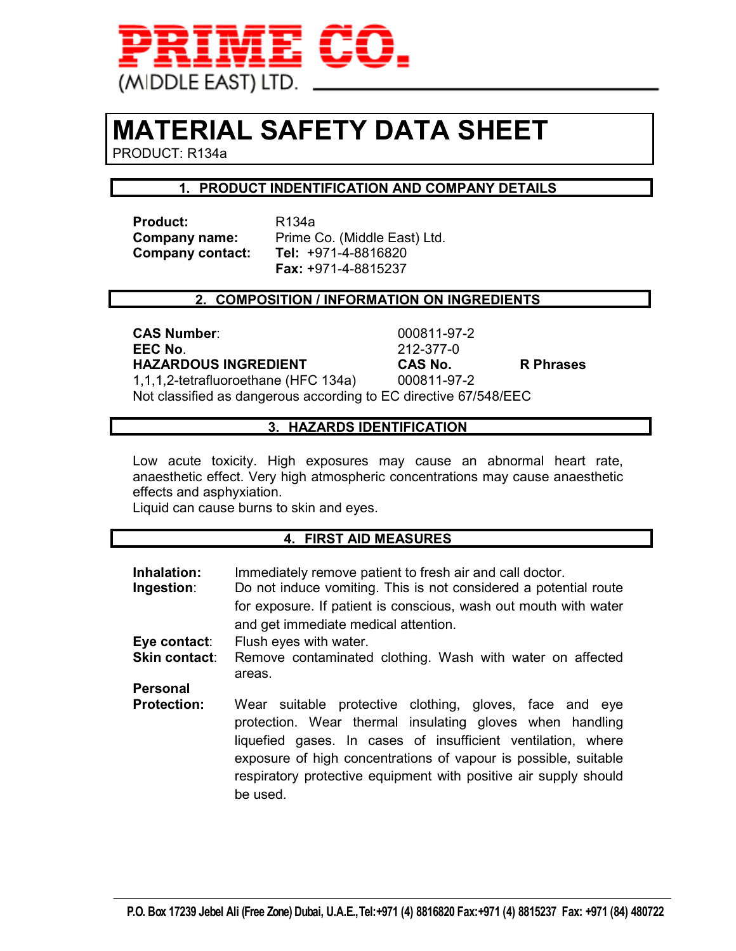

## **MATERIAL SAFETY DATA SHEET**

PRODUCT: R134a

#### **1. PRODUCT INDENTIFICATION AND COMPANY DETAILS**

Product: R134a **Company contact:** 

**Company name:** Prime Co. (Middle East) Ltd.<br>**Company contact: Tel:** +971-4-8816820  **Fax:** +971-4-8815237

#### **2. COMPOSITION / INFORMATION ON INGREDIENTS**

**CAS Number**: 000811-97-2 **EEC No**. 212-377-0 **HAZARDOUS INGREDIENT CAS No. R Phrases**  1,1,1,2-tetrafluoroethane (HFC 134a) 000811-97-2

Not classified as dangerous according to EC directive 67/548/EEC

#### **3. HAZARDS IDENTIFICATION**

Low acute toxicity. High exposures may cause an abnormal heart rate, anaesthetic effect. Very high atmospheric concentrations may cause anaesthetic effects and asphyxiation.

Liquid can cause burns to skin and eyes.

#### **4. FIRST AID MEASURES**

| Inhalation:<br>Ingestion: | Immediately remove patient to fresh air and call doctor.<br>Do not induce vomiting. This is not considered a potential route<br>for exposure. If patient is conscious, wash out mouth with water<br>and get immediate medical attention.                                                                                               |  |
|---------------------------|----------------------------------------------------------------------------------------------------------------------------------------------------------------------------------------------------------------------------------------------------------------------------------------------------------------------------------------|--|
| Eye contact:              | Flush eyes with water.                                                                                                                                                                                                                                                                                                                 |  |
| <b>Skin contact:</b>      | Remove contaminated clothing. Wash with water on affected<br>areas.                                                                                                                                                                                                                                                                    |  |
| <b>Personal</b>           |                                                                                                                                                                                                                                                                                                                                        |  |
| <b>Protection:</b>        | Wear suitable protective clothing, gloves, face and eye<br>protection. Wear thermal insulating gloves when handling<br>liquefied gases. In cases of insufficient ventilation, where<br>exposure of high concentrations of vapour is possible, suitable<br>respiratory protective equipment with positive air supply should<br>be used. |  |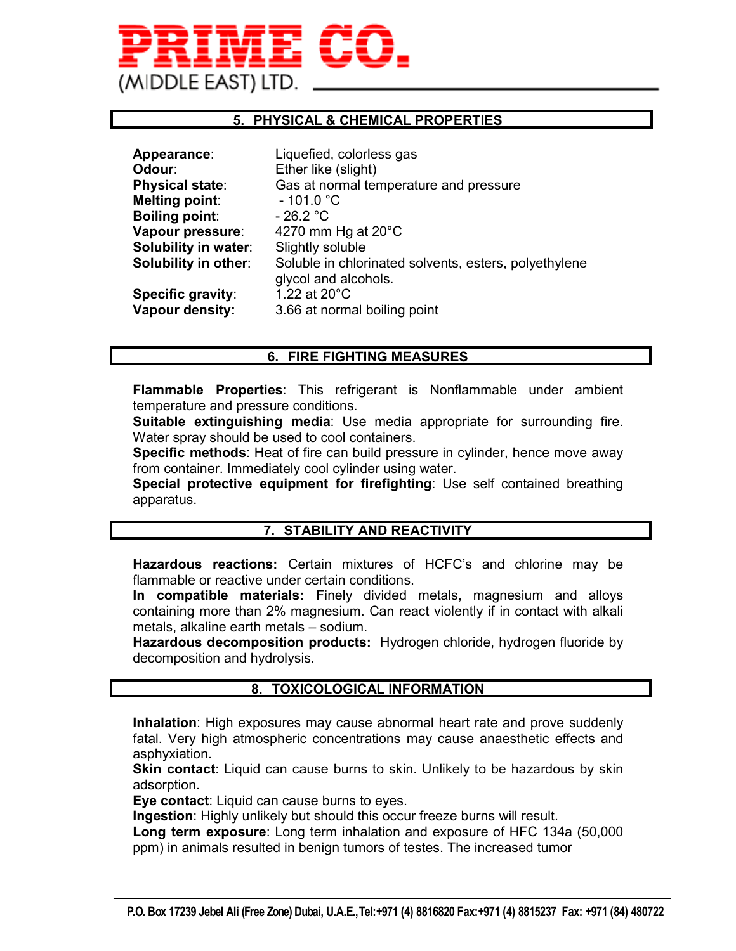# (MIDDLE EAST) LTD

#### **5. PHYSICAL & CHEMICAL PROPERTIES**

| Appearance:                 | Liquefied, colorless gas                                                      |
|-----------------------------|-------------------------------------------------------------------------------|
| <b>Odour</b> :              | Ether like (slight)                                                           |
| Physical state:             | Gas at normal temperature and pressure                                        |
| Melting point:              | $-101.0 °C$                                                                   |
| <b>Boiling point:</b>       | $-26.2 °C$                                                                    |
| Vapour pressure:            | 4270 mm Hg at $20^{\circ}$ C                                                  |
| <b>Solubility in water:</b> | Slightly soluble                                                              |
| <b>Solubility in other:</b> | Soluble in chlorinated solvents, esters, polyethylene<br>glycol and alcohols. |
| Specific gravity:           | 1.22 at 20°C                                                                  |
| Vapour density:             | 3.66 at normal boiling point                                                  |
|                             |                                                                               |

#### **6. FIRE FIGHTING MEASURES**

**Flammable Properties**: This refrigerant is Nonflammable under ambient temperature and pressure conditions.

**Suitable extinguishing media**: Use media appropriate for surrounding fire. Water spray should be used to cool containers.

**Specific methods**: Heat of fire can build pressure in cylinder, hence move away from container. Immediately cool cylinder using water.

**Special protective equipment for firefighting**: Use self contained breathing apparatus.

#### **7. STABILITY AND REACTIVITY**

**Hazardous reactions:** Certain mixtures of HCFC's and chlorine may be flammable or reactive under certain conditions.

**In compatible materials:** Finely divided metals, magnesium and alloys containing more than 2% magnesium. Can react violently if in contact with alkali metals, alkaline earth metals – sodium.

**Hazardous decomposition products:** Hydrogen chloride, hydrogen fluoride by decomposition and hydrolysis.

#### **8. TOXICOLOGICAL INFORMATION**

**Inhalation**: High exposures may cause abnormal heart rate and prove suddenly fatal. Very high atmospheric concentrations may cause anaesthetic effects and asphyxiation.

**Skin contact**: Liquid can cause burns to skin. Unlikely to be hazardous by skin adsorption.

**Eye contact**: Liquid can cause burns to eyes.

**Ingestion**: Highly unlikely but should this occur freeze burns will result.

**Long term exposure**: Long term inhalation and exposure of HFC 134a (50,000 ppm) in animals resulted in benign tumors of testes. The increased tumor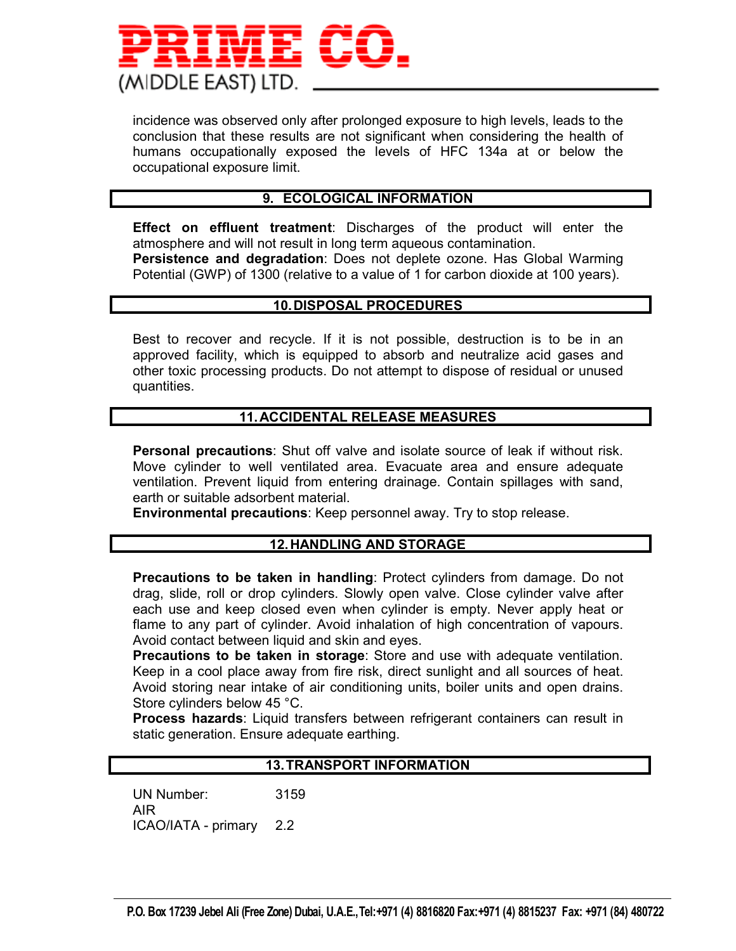

incidence was observed only after prolonged exposure to high levels, leads to the conclusion that these results are not significant when considering the health of humans occupationally exposed the levels of HFC 134a at or below the occupational exposure limit.

#### **9. ECOLOGICAL INFORMATION**

**Effect on effluent treatment**: Discharges of the product will enter the atmosphere and will not result in long term aqueous contamination. **Persistence and degradation**: Does not deplete ozone. Has Global Warming Potential (GWP) of 1300 (relative to a value of 1 for carbon dioxide at 100 years).

#### **10. DISPOSAL PROCEDURES**

Best to recover and recycle. If it is not possible, destruction is to be in an approved facility, which is equipped to absorb and neutralize acid gases and other toxic processing products. Do not attempt to dispose of residual or unused quantities.

#### **11. ACCIDENTAL RELEASE MEASURES**

**Personal precautions**: Shut off valve and isolate source of leak if without risk. Move cylinder to well ventilated area. Evacuate area and ensure adequate ventilation. Prevent liquid from entering drainage. Contain spillages with sand, earth or suitable adsorbent material.

**Environmental precautions**: Keep personnel away. Try to stop release.

#### **12. HANDLING AND STORAGE**

**Precautions to be taken in handling**: Protect cylinders from damage. Do not drag, slide, roll or drop cylinders. Slowly open valve. Close cylinder valve after each use and keep closed even when cylinder is empty. Never apply heat or flame to any part of cylinder. Avoid inhalation of high concentration of vapours. Avoid contact between liquid and skin and eyes.

**Precautions to be taken in storage**: Store and use with adequate ventilation. Keep in a cool place away from fire risk, direct sunlight and all sources of heat. Avoid storing near intake of air conditioning units, boiler units and open drains. Store cylinders below 45 °C.

**Process hazards**: Liquid transfers between refrigerant containers can result in static generation. Ensure adequate earthing.

#### **13. TRANSPORT INFORMATION**

UN Number: 3159 AIR ICAO/IATA - primary 2.2